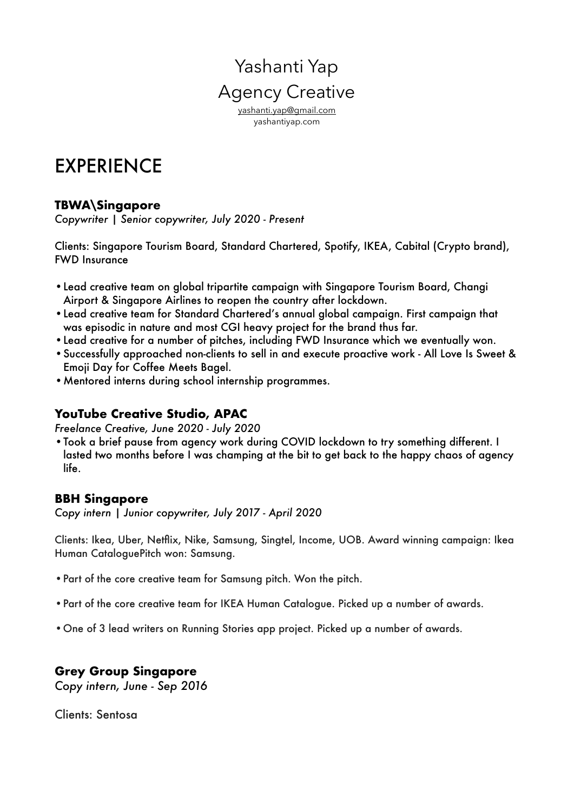## Yashanti Yap Agency Creative [yashanti.yap@gmail.com](mailto:yashanti.yap@gmail.com)

yashantiyap.com

# EXPERIENCE

#### **TBWA\Singapore**

*Copywriter | Senior copywriter, July 2020 - Present* 

Clients: Singapore Tourism Board, Standard Chartered, Spotify, IKEA, Cabital (Crypto brand), FWD Insurance

- •Lead creative team on global tripartite campaign with Singapore Tourism Board, Changi Airport & Singapore Airlines to reopen the country after lockdown.
- •Lead creative team for Standard Chartered's annual global campaign. First campaign that was episodic in nature and most CGI heavy project for the brand thus far.
- •Lead creative for a number of pitches, including FWD Insurance which we eventually won.
- •Successfully approached non-clients to sell in and execute proactive work All Love Is Sweet & Emoji Day for Coffee Meets Bagel.
- •Mentored interns during school internship programmes.

#### **YouTube Creative Studio, APAC**

*Freelance Creative, June 2020 - July 2020*

•Took a brief pause from agency work during COVID lockdown to try something different. I lasted two months before I was champing at the bit to get back to the happy chaos of agency life.

#### **BBH Singapore**

*Copy intern | Junior copywriter, July 2017 - April 2020*

Clients: Ikea, Uber, Netflix, Nike, Samsung, Singtel, Income, UOB. Award winning campaign: Ikea Human CataloguePitch won: Samsung.

- •Part of the core creative team for Samsung pitch. Won the pitch.
- •Part of the core creative team for IKEA Human Catalogue. Picked up a number of awards.
- •One of 3 lead writers on Running Stories app project. Picked up a number of awards.

## **Grey Group Singapore**

*Copy intern, June - Sep 2016*

Clients: Sentosa